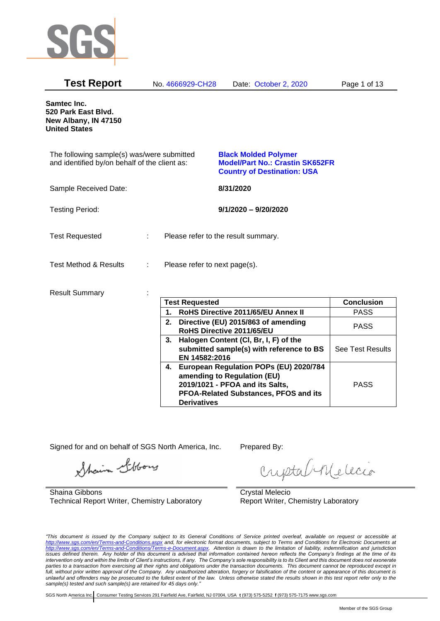

| Samtec Inc.<br>520 Park East Blvd.<br>New Albany, IN 47150<br><b>United States</b><br>The following sample(s) was/were submitted<br><b>Black Molded Polymer</b><br>and identified by/on behalf of the client as:<br><b>Model/Part No.: Crastin SK652FR</b><br><b>Country of Destination: USA</b><br>Sample Received Date:<br>8/31/2020<br><b>Testing Period:</b><br>$9/1/2020 - 9/20/2020$ |
|--------------------------------------------------------------------------------------------------------------------------------------------------------------------------------------------------------------------------------------------------------------------------------------------------------------------------------------------------------------------------------------------|
|                                                                                                                                                                                                                                                                                                                                                                                            |
|                                                                                                                                                                                                                                                                                                                                                                                            |
|                                                                                                                                                                                                                                                                                                                                                                                            |
|                                                                                                                                                                                                                                                                                                                                                                                            |
| <b>Test Requested</b><br>Please refer to the result summary.                                                                                                                                                                                                                                                                                                                               |
| <b>Test Method &amp; Results</b><br>Please refer to next page(s).                                                                                                                                                                                                                                                                                                                          |
| <b>Result Summary</b>                                                                                                                                                                                                                                                                                                                                                                      |
| <b>Test Requested</b><br><b>Conclusion</b>                                                                                                                                                                                                                                                                                                                                                 |
| RoHS Directive 2011/65/EU Annex II<br><b>PASS</b><br>1.                                                                                                                                                                                                                                                                                                                                    |
| 2. Directive (EU) 2015/863 of amending<br><b>PASS</b><br>RoHS Directive 2011/65/EU                                                                                                                                                                                                                                                                                                         |
| 3. Halogen Content (CI, Br, I, F) of the<br>See Test Results<br>submitted sample(s) with reference to BS<br>EN 14582:2016                                                                                                                                                                                                                                                                  |
| 4. European Regulation POPs (EU) 2020/784<br>amending to Regulation (EU)<br>2019/1021 - PFOA and its Salts,<br><b>PASS</b><br>PFOA-Related Substances, PFOS and its<br><b>Derivatives</b>                                                                                                                                                                                                  |

Signed for and on behalf of SGS North America, Inc. Prepared By:

Shain Libbory

Shaina Gibbons Technical Report Writer, Chemistry Laboratory

criptal Melecio

Crystal Melecio Report Writer, Chemistry Laboratory

*"This document is issued by the Company subject to its General Conditions of Service printed overleaf, available on request or accessible at <http://www.sgs.com/en/Terms-and-Conditions.aspx> and, for electronic format documents, subject to Terms and Conditions for Electronic Documents at [http://www.sgs.com/en/Terms-and-Conditions/Terms-e-Document.aspx.](http://www.sgs.com/en/Terms-and-Conditions/Terms-e-Document.aspx) Attention is drawn to the limitation of liability, indemnification and jurisdiction issues defined therein. Any holder of this document is advised that information contained hereon reflects the Company's findings at the time of its intervention only and within the limits of Client's instructions, if any. The Company's sole responsibility is to its Client and this document does not exonerate parties to a transaction from exercising all their rights and obligations under the transaction documents. This document cannot be reproduced except in full, without prior written approval of the Company. Any unauthorized alteration, forgery or falsification of the content or appearance of this document is unlawful and offenders may be prosecuted to the fullest extent of the law. Unless otherwise stated the results shown in this test report refer only to the sample(s) tested and such sample(s) are retained for 45 days only."*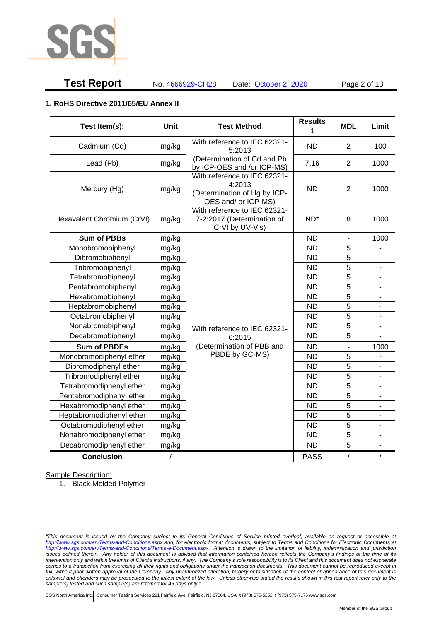

# **Test Report** No. 4666929-CH28 Date: October 2, 2020 Page 2 of 13

#### **1. RoHS Directive 2011/65/EU Annex II**

| Test Item(s):              | <b>Unit</b> | <b>Test Method</b>                                                                            | <b>Results</b>  | <b>MDL</b>     | Limit                    |
|----------------------------|-------------|-----------------------------------------------------------------------------------------------|-----------------|----------------|--------------------------|
|                            |             |                                                                                               | 1               |                |                          |
| Cadmium (Cd)               | mg/kg       | With reference to IEC 62321-<br>5:2013                                                        | <b>ND</b>       | 2              | 100                      |
| Lead (Pb)                  | mg/kg       | (Determination of Cd and Pb<br>by ICP-OES and /or ICP-MS)                                     | 7.16            | 2              | 1000                     |
| Mercury (Hg)               | mg/kg       | With reference to IEC 62321-<br>4:2013<br>(Determination of Hg by ICP-<br>OES and/ or ICP-MS) | <b>ND</b>       | 2              | 1000                     |
| Hexavalent Chromium (CrVI) | mg/kg       | With reference to IEC 62321-<br>7-2:2017 (Determination of<br>CrVI by UV-Vis)                 | ND <sup>*</sup> | 8              | 1000                     |
| <b>Sum of PBBs</b>         | mg/kg       |                                                                                               | <b>ND</b>       | $\blacksquare$ | 1000                     |
| Monobromobiphenyl          | mg/kg       |                                                                                               | <b>ND</b>       | 5              |                          |
| Dibromobiphenyl            | mg/kg       |                                                                                               | <b>ND</b>       | 5              |                          |
| Tribromobiphenyl           | mg/kg       |                                                                                               | <b>ND</b>       | 5              | $\blacksquare$           |
| Tetrabromobiphenyl         | mg/kg       |                                                                                               | <b>ND</b>       | $\overline{5}$ | L.                       |
| Pentabromobiphenyl         | mg/kg       |                                                                                               | <b>ND</b>       | $\overline{5}$ |                          |
| Hexabromobiphenyl          | mg/kg       |                                                                                               | <b>ND</b>       | 5              |                          |
| Heptabromobiphenyl         | mg/kg       |                                                                                               | <b>ND</b>       | 5              |                          |
| Octabromobiphenyl          | mg/kg       |                                                                                               | <b>ND</b>       | 5              | $\overline{\phantom{a}}$ |
| Nonabromobiphenyl          | mg/kg       | With reference to IEC 62321-                                                                  | <b>ND</b>       | 5              | $\overline{\phantom{a}}$ |
| Decabromobiphenyl          | mg/kg       | 6:2015                                                                                        | <b>ND</b>       | 5              | $\overline{a}$           |
| <b>Sum of PBDEs</b>        | mg/kg       | (Determination of PBB and                                                                     | <b>ND</b>       | $\blacksquare$ | 1000                     |
| Monobromodiphenyl ether    | mg/kg       | PBDE by GC-MS)                                                                                | <b>ND</b>       | 5              |                          |
| Dibromodiphenyl ether      | mg/kg       |                                                                                               | <b>ND</b>       | 5              | $\overline{a}$           |
| Tribromodiphenyl ether     | mg/kg       |                                                                                               | <b>ND</b>       | $\overline{5}$ | $\overline{\phantom{a}}$ |
| Tetrabromodiphenyl ether   | mg/kg       |                                                                                               | <b>ND</b>       | 5              | $\overline{\phantom{m}}$ |
| Pentabromodiphenyl ether   | mg/kg       |                                                                                               | <b>ND</b>       | 5              | $\overline{a}$           |
| Hexabromodiphenyl ether    | mg/kg       |                                                                                               | <b>ND</b>       | 5              |                          |
| Heptabromodiphenyl ether   | mg/kg       |                                                                                               | <b>ND</b>       | 5              |                          |
| Octabromodiphenyl ether    | mg/kg       |                                                                                               | <b>ND</b>       | 5              |                          |
| Nonabromodiphenyl ether    | mg/kg       |                                                                                               | <b>ND</b>       | 5              | ÷,                       |
| Decabromodiphenyl ether    | mg/kg       |                                                                                               | <b>ND</b>       | 5              |                          |
| <b>Conclusion</b>          | $\sqrt{2}$  |                                                                                               | <b>PASS</b>     | $\sqrt{2}$     | $\prime$                 |

Sample Description:

1. Black Molded Polymer

*<sup>&</sup>quot;This document is issued by the Company subject to its General Conditions of Service printed overleaf, available on request or accessible at <http://www.sgs.com/en/Terms-and-Conditions.aspx> and, for electronic format documents, subject to Terms and Conditions for Electronic Documents at [http://www.sgs.com/en/Terms-and-Conditions/Terms-e-Document.aspx.](http://www.sgs.com/en/Terms-and-Conditions/Terms-e-Document.aspx) Attention is drawn to the limitation of liability, indemnification and jurisdiction issues defined therein. Any holder of this document is advised that information contained hereon reflects the Company's findings at the time of its intervention only and within the limits of Client's instructions, if any. The Company's sole responsibility is to its Client and this document does not exonerate parties to a transaction from exercising all their rights and obligations under the transaction documents. This document cannot be reproduced except in full, without prior written approval of the Company. Any unauthorized alteration, forgery or falsification of the content or appearance of this document is unlawful and offenders may be prosecuted to the fullest extent of the law. Unless otherwise stated the results shown in this test report refer only to the sample(s) tested and such sample(s) are retained for 45 days only."*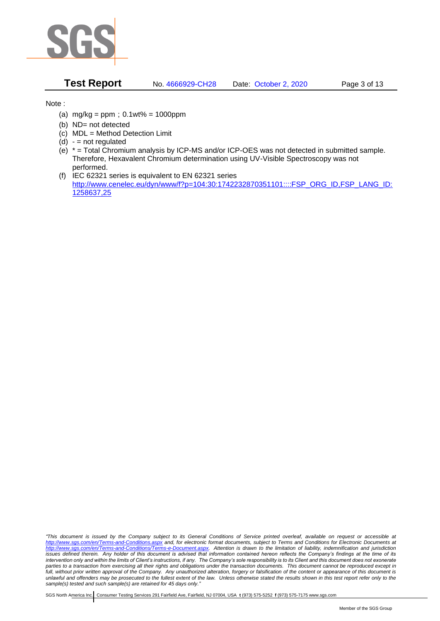

**Test Report** No. 4666929-CH28 Date: October 2, 2020 Page 3 of 13

Note :

- (a)  $mg/kg = ppm$ ;  $0.1wt% = 1000ppm$
- (b) ND= not detected
- (c) MDL = Method Detection Limit
- $(d) -$  = not regulated
- (e) \* = Total Chromium analysis by ICP-MS and/or ICP-OES was not detected in submitted sample. Therefore, Hexavalent Chromium determination using UV-Visible Spectroscopy was not performed.
- (f) IEC 62321 series is equivalent to EN 62321 series [http://www.cenelec.eu/dyn/www/f?p=104:30:1742232870351101::::FSP\\_ORG\\_ID,FSP\\_LANG\\_ID:](http://www.cenelec.eu/dyn/www/f?p=104:30:1742232870351101::::FSP_ORG_ID,FSP_LANG_ID:1258637,25) [1258637,25](http://www.cenelec.eu/dyn/www/f?p=104:30:1742232870351101::::FSP_ORG_ID,FSP_LANG_ID:1258637,25)

*"This document is issued by the Company subject to its General Conditions of Service printed overleaf, available on request or accessible at <http://www.sgs.com/en/Terms-and-Conditions.aspx> and, for electronic format documents, subject to Terms and Conditions for Electronic Documents at [http://www.sgs.com/en/Terms-and-Conditions/Terms-e-Document.aspx.](http://www.sgs.com/en/Terms-and-Conditions/Terms-e-Document.aspx) Attention is drawn to the limitation of liability, indemnification and jurisdiction issues defined therein. Any holder of this document is advised that information contained hereon reflects the Company's findings at the time of its intervention only and within the limits of Client's instructions, if any. The Company's sole responsibility is to its Client and this document does not exonerate parties to a transaction from exercising all their rights and obligations under the transaction documents. This document cannot be reproduced except in full, without prior written approval of the Company. Any unauthorized alteration, forgery or falsification of the content or appearance of this document is unlawful and offenders may be prosecuted to the fullest extent of the law. Unless otherwise stated the results shown in this test report refer only to the sample(s) tested and such sample(s) are retained for 45 days only."*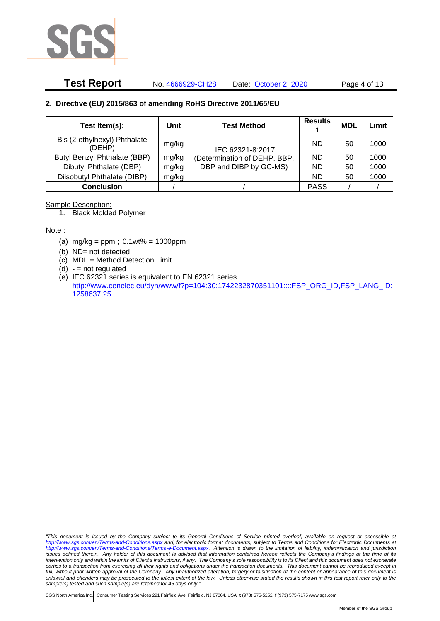

# **Test Report** No. 4666929-CH28 Date: October 2, 2020 Page 4 of 13

### **2. Directive (EU) 2015/863 of amending RoHS Directive 2011/65/EU**

|                                        |       | <b>Test Method</b>           | <b>Results</b> | <b>MDL</b> | Limit |
|----------------------------------------|-------|------------------------------|----------------|------------|-------|
| Test Item(s):                          | Unit  |                              |                |            |       |
| Bis (2-ethylhexyl) Phthalate<br>(DEHP) | mg/kg | IEC 62321-8:2017             | ND.            | 50         | 1000  |
| Butyl Benzyl Phthalate (BBP)           | mg/kg | (Determination of DEHP, BBP, | ND.            | 50         | 1000  |
| Dibutyl Phthalate (DBP)                | mg/kg | DBP and DIBP by GC-MS)       | ND.            | 50         | 1000  |
| Diisobutyl Phthalate (DIBP)            | mg/kg |                              | ND.            | 50         | 1000  |
| <b>Conclusion</b>                      |       |                              | <b>PASS</b>    |            |       |

#### Sample Description:

1. Black Molded Polymer

Note :

- (a)  $mg/kg = ppm$ ;  $0.1wt% = 1000ppm$
- (b) ND= not detected
- (c) MDL = Method Detection Limit
- $(d) -$  = not regulated
- (e) IEC 62321 series is equivalent to EN 62321 series [http://www.cenelec.eu/dyn/www/f?p=104:30:1742232870351101::::FSP\\_ORG\\_ID,FSP\\_LANG\\_ID:](http://www.cenelec.eu/dyn/www/f?p=104:30:1742232870351101::::FSP_ORG_ID,FSP_LANG_ID:1258637,25) [1258637,25](http://www.cenelec.eu/dyn/www/f?p=104:30:1742232870351101::::FSP_ORG_ID,FSP_LANG_ID:1258637,25)

*"This document is issued by the Company subject to its General Conditions of Service printed overleaf, available on request or accessible at <http://www.sgs.com/en/Terms-and-Conditions.aspx> and, for electronic format documents, subject to Terms and Conditions for Electronic Documents at [http://www.sgs.com/en/Terms-and-Conditions/Terms-e-Document.aspx.](http://www.sgs.com/en/Terms-and-Conditions/Terms-e-Document.aspx) Attention is drawn to the limitation of liability, indemnification and jurisdiction issues defined therein. Any holder of this document is advised that information contained hereon reflects the Company's findings at the time of its intervention only and within the limits of Client's instructions, if any. The Company's sole responsibility is to its Client and this document does not exonerate parties to a transaction from exercising all their rights and obligations under the transaction documents. This document cannot be reproduced except in full, without prior written approval of the Company. Any unauthorized alteration, forgery or falsification of the content or appearance of this document is unlawful and offenders may be prosecuted to the fullest extent of the law. Unless otherwise stated the results shown in this test report refer only to the sample(s) tested and such sample(s) are retained for 45 days only."*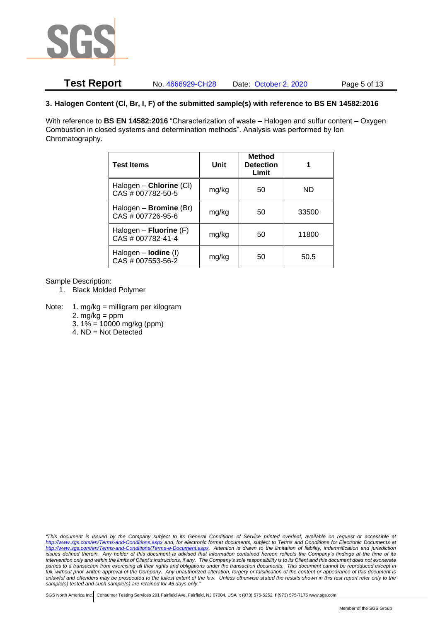

# **Test Report** No. 4666929-CH28 Date: October 2, 2020 Page 5 of 13

### **3. Halogen Content (Cl, Br, I, F) of the submitted sample(s) with reference to BS EN 14582:2016**

With reference to **BS EN 14582:2016** "Characterization of waste – Halogen and sulfur content – Oxygen Combustion in closed systems and determination methods". Analysis was performed by Ion Chromatography.

| <b>Test Items</b>                                  | Unit  | <b>Method</b><br><b>Detection</b><br>Limit |       |
|----------------------------------------------------|-------|--------------------------------------------|-------|
| Halogen - Chlorine (CI)<br>CAS # 007782-50-5       | mg/kg | 50                                         | ND    |
| Halogen - <b>Bromine</b> (Br)<br>CAS # 007726-95-6 | mg/kg | 50                                         | 33500 |
| Halogen – Fluorine $(F)$<br>CAS # 007782-41-4      | mg/kg | 50                                         | 11800 |
| Halogen - <b>lodine</b> (I)<br>CAS # 007553-56-2   | mg/kg | 50                                         | 50.5  |

Sample Description:

- 1. Black Molded Polymer
- Note: 1. mg/kg = milligram per kilogram
	- 2.  $mg/kg = ppm$
	- 3.  $1\% = 10000$  mg/kg (ppm)
	- 4. ND = Not Detected

*"This document is issued by the Company subject to its General Conditions of Service printed overleaf, available on request or accessible at <http://www.sgs.com/en/Terms-and-Conditions.aspx> and, for electronic format documents, subject to Terms and Conditions for Electronic Documents at [http://www.sgs.com/en/Terms-and-Conditions/Terms-e-Document.aspx.](http://www.sgs.com/en/Terms-and-Conditions/Terms-e-Document.aspx) Attention is drawn to the limitation of liability, indemnification and jurisdiction issues defined therein. Any holder of this document is advised that information contained hereon reflects the Company's findings at the time of its intervention only and within the limits of Client's instructions, if any. The Company's sole responsibility is to its Client and this document does not exonerate parties to a transaction from exercising all their rights and obligations under the transaction documents. This document cannot be reproduced except in full, without prior written approval of the Company. Any unauthorized alteration, forgery or falsification of the content or appearance of this document is unlawful and offenders may be prosecuted to the fullest extent of the law. Unless otherwise stated the results shown in this test report refer only to the sample(s) tested and such sample(s) are retained for 45 days only."*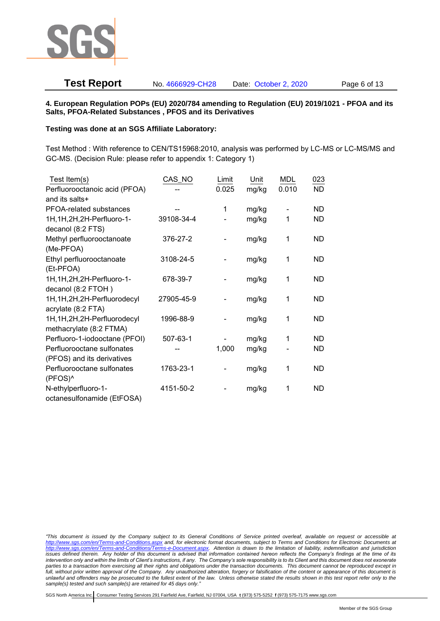

# **Test Report** No. 4666929-CH28 Date: October 2, 2020 Page 6 of 13

#### **4. European Regulation POPs (EU) 2020/784 amending to Regulation (EU) 2019/1021 - PFOA and its Salts, PFOA-Related Substances , PFOS and its Derivatives**

#### **Testing was done at an SGS Affiliate Laboratory:**

Test Method : With reference to CEN/TS15968:2010, analysis was performed by LC-MS or LC-MS/MS and GC-MS. (Decision Rule: please refer to appendix 1: Category 1)

| Test Item(s)                  | CAS_NO     | Limit | Unit  | <b>MDL</b> | 023       |
|-------------------------------|------------|-------|-------|------------|-----------|
| Perfluorooctanoic acid (PFOA) |            | 0.025 | mg/kg | 0.010      | <b>ND</b> |
| and its salts+                |            |       |       |            |           |
| PFOA-related substances       |            | 1     | mg/kg |            | ND        |
| 1H, 1H, 2H, 2H-Perfluoro-1-   | 39108-34-4 |       | mg/kg | 1          | ND        |
| decanol (8:2 FTS)             |            |       |       |            |           |
| Methyl perfluorooctanoate     | 376-27-2   |       | mg/kg | 1          | <b>ND</b> |
| (Me-PFOA)                     |            |       |       |            |           |
| Ethyl perfluorooctanoate      | 3108-24-5  |       | mg/kg | 1          | <b>ND</b> |
| (Et-PFOA)                     |            |       |       |            |           |
| 1H, 1H, 2H, 2H-Perfluoro-1-   | 678-39-7   |       | mg/kg | 1          | ND        |
| decanol (8:2 FTOH)            |            |       |       |            |           |
| 1H, 1H, 2H, 2H-Perfluorodecyl | 27905-45-9 |       | mg/kg | 1          | <b>ND</b> |
| acrylate (8:2 FTA)            |            |       |       |            |           |
| 1H, 1H, 2H, 2H-Perfluorodecyl | 1996-88-9  |       | mg/kg | 1          | <b>ND</b> |
| methacrylate (8:2 FTMA)       |            |       |       |            |           |
| Perfluoro-1-iodooctane (PFOI) | 507-63-1   |       | mg/kg | 1          | <b>ND</b> |
| Perfluorooctane sulfonates    |            | 1,000 | mg/kg |            | ND        |
| (PFOS) and its derivatives    |            |       |       |            |           |
| Perfluorooctane sulfonates    | 1763-23-1  |       | mg/kg | 1          | <b>ND</b> |
| (PFOS)^                       |            |       |       |            |           |
| N-ethylperfluoro-1-           | 4151-50-2  |       | mg/kg | 1          | <b>ND</b> |
| octanesulfonamide (EtFOSA)    |            |       |       |            |           |

*<sup>&</sup>quot;This document is issued by the Company subject to its General Conditions of Service printed overleaf, available on request or accessible at <http://www.sgs.com/en/Terms-and-Conditions.aspx> and, for electronic format documents, subject to Terms and Conditions for Electronic Documents at [http://www.sgs.com/en/Terms-and-Conditions/Terms-e-Document.aspx.](http://www.sgs.com/en/Terms-and-Conditions/Terms-e-Document.aspx) Attention is drawn to the limitation of liability, indemnification and jurisdiction issues defined therein. Any holder of this document is advised that information contained hereon reflects the Company's findings at the time of its intervention only and within the limits of Client's instructions, if any. The Company's sole responsibility is to its Client and this document does not exonerate parties to a transaction from exercising all their rights and obligations under the transaction documents. This document cannot be reproduced except in full, without prior written approval of the Company. Any unauthorized alteration, forgery or falsification of the content or appearance of this document is unlawful and offenders may be prosecuted to the fullest extent of the law. Unless otherwise stated the results shown in this test report refer only to the sample(s) tested and such sample(s) are retained for 45 days only."*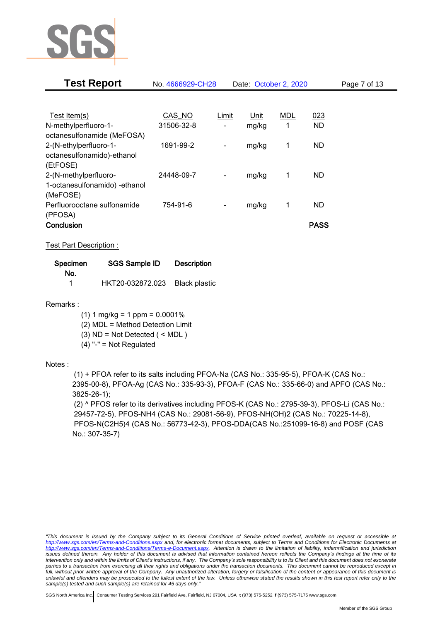

| <b>Test Report</b>            | No. 4666929-CH28 |                          | Date: October 2, 2020 |     |             | Page 7 of 13 |
|-------------------------------|------------------|--------------------------|-----------------------|-----|-------------|--------------|
|                               |                  |                          |                       |     |             |              |
| Test Item(s)                  | CAS_NO           | Limit                    | Unit                  | MDL | 023         |              |
| N-methylperfluoro-1-          | 31506-32-8       |                          | mg/kg                 | 1   | <b>ND</b>   |              |
| octanesulfonamide (MeFOSA)    |                  |                          |                       |     |             |              |
| 2-(N-ethylperfluoro-1-        | 1691-99-2        | $\overline{\phantom{a}}$ | mg/kg                 | 1   | ND.         |              |
| octanesulfonamido)-ethanol    |                  |                          |                       |     |             |              |
| (EtFOSE)                      |                  |                          |                       |     |             |              |
| 2-(N-methylperfluoro-         | 24448-09-7       | $\overline{\phantom{a}}$ | mg/kg                 | 1   | ND.         |              |
| 1-octanesulfonamido) -ethanol |                  |                          |                       |     |             |              |
| (MeFOSE)                      |                  |                          |                       |     |             |              |
| Perfluorooctane sulfonamide   | 754-91-6         | -                        | mg/kg                 | 1   | ND.         |              |
| (PFOSA)                       |                  |                          |                       |     |             |              |
| Conclusion                    |                  |                          |                       |     | <b>PASS</b> |              |

Test Part Description :

| <b>SGS Sample ID</b><br>Specimen |                                | <b>Description</b> |  |  |
|----------------------------------|--------------------------------|--------------------|--|--|
| No.                              |                                |                    |  |  |
| 1                                | HKT20-032872.023 Black plastic |                    |  |  |

Remarks :

 $(1)$  1 mg/kg = 1 ppm = 0.0001%

(2) MDL = Method Detection Limit

(3) ND = Not Detected ( < MDL )

(4) "-" = Not Regulated

### Notes :

(1) + PFOA refer to its salts including PFOA-Na (CAS No.: 335-95-5), PFOA-K (CAS No.: 2395-00-8), PFOA-Ag (CAS No.: 335-93-3), PFOA-F (CAS No.: 335-66-0) and APFO (CAS No.: 3825-26-1);

(2) ^ PFOS refer to its derivatives including PFOS-K (CAS No.: 2795-39-3), PFOS-Li (CAS No.: 29457-72-5), PFOS-NH4 (CAS No.: 29081-56-9), PFOS-NH(OH)2 (CAS No.: 70225-14-8), PFOS-N(C2H5)4 (CAS No.: 56773-42-3), PFOS-DDA(CAS No.:251099-16-8) and POSF (CAS No.: 307-35-7)

*"This document is issued by the Company subject to its General Conditions of Service printed overleaf, available on request or accessible at <http://www.sgs.com/en/Terms-and-Conditions.aspx> and, for electronic format documents, subject to Terms and Conditions for Electronic Documents at [http://www.sgs.com/en/Terms-and-Conditions/Terms-e-Document.aspx.](http://www.sgs.com/en/Terms-and-Conditions/Terms-e-Document.aspx) Attention is drawn to the limitation of liability, indemnification and jurisdiction issues defined therein. Any holder of this document is advised that information contained hereon reflects the Company's findings at the time of its intervention only and within the limits of Client's instructions, if any. The Company's sole responsibility is to its Client and this document does not exonerate parties to a transaction from exercising all their rights and obligations under the transaction documents. This document cannot be reproduced except in full, without prior written approval of the Company. Any unauthorized alteration, forgery or falsification of the content or appearance of this document is unlawful and offenders may be prosecuted to the fullest extent of the law. Unless otherwise stated the results shown in this test report refer only to the sample(s) tested and such sample(s) are retained for 45 days only."*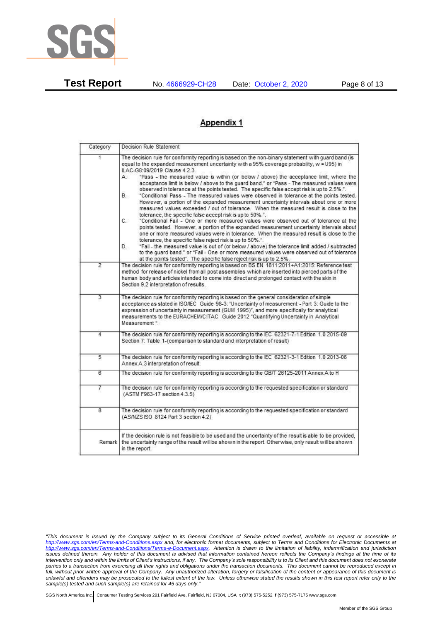

**Test Report** No. 4666929-CH28 Date: October 2, 2020 Page 8 of 13

# **Appendix 1**

| Category       | Decision Rule Statement                                                                                                                                                                                                                                                                                                                                                                                                                                                                                                                                                                                                                                                                                                                                                                                                                                                                                                                                                                                                                                                                                                                                                                                                                                                                                                                                                                                                                    |  |  |  |  |
|----------------|--------------------------------------------------------------------------------------------------------------------------------------------------------------------------------------------------------------------------------------------------------------------------------------------------------------------------------------------------------------------------------------------------------------------------------------------------------------------------------------------------------------------------------------------------------------------------------------------------------------------------------------------------------------------------------------------------------------------------------------------------------------------------------------------------------------------------------------------------------------------------------------------------------------------------------------------------------------------------------------------------------------------------------------------------------------------------------------------------------------------------------------------------------------------------------------------------------------------------------------------------------------------------------------------------------------------------------------------------------------------------------------------------------------------------------------------|--|--|--|--|
| 1.             | The decision rule for conformity reporting is based on the non-binary statement with guard band (is<br>equal to the expanded measurement uncertainty with a 95% coverage probability, w = U95) in<br>ILAC-G8:09/2019 Clause 4.2.3.<br>"Pass - the measured value is within (or below / above) the acceptance limit, where the<br>А.<br>acceptance limit is below / above to the quard band," or "Pass - The measured values were<br>observed in tolerance at the points tested. The specific false accept risk is up to 2.5%.".<br>В.<br>"Conditional Pass - The measured values were observed in tolerance at the points tested.<br>However, a portion of the expanded measurement uncertainty intervals about one or more<br>measured values exceeded / out of tolerance. When the measured result is close to the<br>tolerance, the specific false accept risk is up to 50%.".<br>C.<br>"Conditional Fail - One or more measured values were observed out of tolerance at the<br>points tested. However, a portion of the expanded measurement uncertainty intervals about<br>one or more measured values were in tolerance. When the measured result is close to the<br>tolerance, the specific false reject risk is up to 50%.".<br>"Fail - the measured value is out of (or below / above) the tolerance limit added / subtracted<br>D.<br>to the quard band," or "Fail - One or more measured values were observed out of tolerance |  |  |  |  |
| $\overline{2}$ | at the points tested". The specific false reject risk is up to 2.5%.<br>The decision rule for conformity reporting is based on BS EN 1811:2011+A1:2015: Reference test<br>method for release of nickel from all post assemblies which are inserted into pierced parts of the<br>human body and articles intended to come into direct and prolonged contact with the skin in<br>Section 9.2 interpretation of results.                                                                                                                                                                                                                                                                                                                                                                                                                                                                                                                                                                                                                                                                                                                                                                                                                                                                                                                                                                                                                      |  |  |  |  |
| $\overline{3}$ | The decision rule for conformity reporting is based on the general consideration of simple<br>acceptance as stated in ISO/IEC Guide 98-3: "Uncertainty of measurement - Part 3: Guide to the<br>expression of uncertainty in measurement (GUM 1995)", and more specifically for analytical<br>measurements to the EURACHEM/CITAC Guide 2012 "Quantifying Uncertainty in Analytical<br>Measurement *                                                                                                                                                                                                                                                                                                                                                                                                                                                                                                                                                                                                                                                                                                                                                                                                                                                                                                                                                                                                                                        |  |  |  |  |
| 4              | The decision rule for conformity reporting is according to the IEC 62321-7-1 Edition 1.0 2015-09<br>Section 7: Table 1-(comparison to standard and interpretation of result)                                                                                                                                                                                                                                                                                                                                                                                                                                                                                                                                                                                                                                                                                                                                                                                                                                                                                                                                                                                                                                                                                                                                                                                                                                                               |  |  |  |  |
| 5              | The decision rule for conformity reporting is according to the IEC 62321-3-1 Edition 1.0 2013-06<br>Annex A.3 interpretation of result.                                                                                                                                                                                                                                                                                                                                                                                                                                                                                                                                                                                                                                                                                                                                                                                                                                                                                                                                                                                                                                                                                                                                                                                                                                                                                                    |  |  |  |  |
| 6              | The decision rule for conformity reporting is according to the GB/T 26125-2011 Annex A to H                                                                                                                                                                                                                                                                                                                                                                                                                                                                                                                                                                                                                                                                                                                                                                                                                                                                                                                                                                                                                                                                                                                                                                                                                                                                                                                                                |  |  |  |  |
| 7              | The decision rule for conformity reporting is according to the requested specification or standard<br>(ASTM F963-17 section 4.3.5)                                                                                                                                                                                                                                                                                                                                                                                                                                                                                                                                                                                                                                                                                                                                                                                                                                                                                                                                                                                                                                                                                                                                                                                                                                                                                                         |  |  |  |  |
| 8              | The decision rule for conformity reporting is according to the requested specification or standard<br>(AS/NZS ISO 8124 Part 3 section 4.2)                                                                                                                                                                                                                                                                                                                                                                                                                                                                                                                                                                                                                                                                                                                                                                                                                                                                                                                                                                                                                                                                                                                                                                                                                                                                                                 |  |  |  |  |
| Remark         | If the decision rule is not feasible to be used and the uncertainty of the result is able to be provided,<br>the uncertainty range of the result will be shown in the report. Otherwise, only result will be shown<br>in the report.                                                                                                                                                                                                                                                                                                                                                                                                                                                                                                                                                                                                                                                                                                                                                                                                                                                                                                                                                                                                                                                                                                                                                                                                       |  |  |  |  |

*<sup>&</sup>quot;This document is issued by the Company subject to its General Conditions of Service printed overleaf, available on request or accessible at <http://www.sgs.com/en/Terms-and-Conditions.aspx> and, for electronic format documents, subject to Terms and Conditions for Electronic Documents at [http://www.sgs.com/en/Terms-and-Conditions/Terms-e-Document.aspx.](http://www.sgs.com/en/Terms-and-Conditions/Terms-e-Document.aspx) Attention is drawn to the limitation of liability, indemnification and jurisdiction issues defined therein. Any holder of this document is advised that information contained hereon reflects the Company's findings at the time of its intervention only and within the limits of Client's instructions, if any. The Company's sole responsibility is to its Client and this document does not exonerate parties to a transaction from exercising all their rights and obligations under the transaction documents. This document cannot be reproduced except in full, without prior written approval of the Company. Any unauthorized alteration, forgery or falsification of the content or appearance of this document is unlawful and offenders may be prosecuted to the fullest extent of the law. Unless otherwise stated the results shown in this test report refer only to the sample(s) tested and such sample(s) are retained for 45 days only."*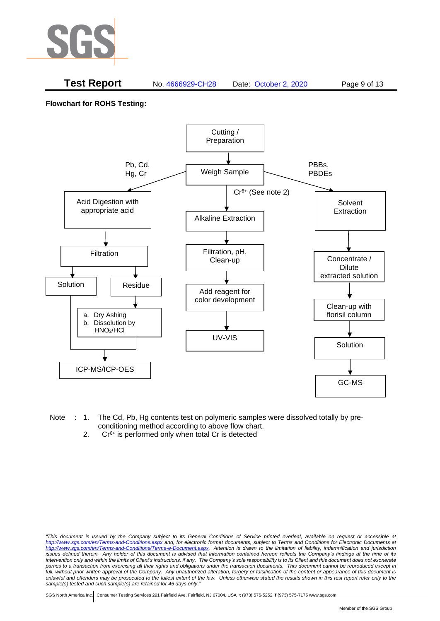

## **Test Report** No. 4666929-CH28 Date: October 2, 2020 Page 9 of 13

**Flowchart for ROHS Testing:**



- Note : 1. The Cd, Pb, Hg contents test on polymeric samples were dissolved totally by preconditioning method according to above flow chart.
	- 2.  $Cr^{6+}$  is performed only when total Cr is detected

*<sup>&</sup>quot;This document is issued by the Company subject to its General Conditions of Service printed overleaf, available on request or accessible at <http://www.sgs.com/en/Terms-and-Conditions.aspx> and, for electronic format documents, subject to Terms and Conditions for Electronic Documents at [http://www.sgs.com/en/Terms-and-Conditions/Terms-e-Document.aspx.](http://www.sgs.com/en/Terms-and-Conditions/Terms-e-Document.aspx) Attention is drawn to the limitation of liability, indemnification and jurisdiction issues defined therein. Any holder of this document is advised that information contained hereon reflects the Company's findings at the time of its intervention only and within the limits of Client's instructions, if any. The Company's sole responsibility is to its Client and this document does not exonerate parties to a transaction from exercising all their rights and obligations under the transaction documents. This document cannot be reproduced except in full, without prior written approval of the Company. Any unauthorized alteration, forgery or falsification of the content or appearance of this document is unlawful and offenders may be prosecuted to the fullest extent of the law. Unless otherwise stated the results shown in this test report refer only to the sample(s) tested and such sample(s) are retained for 45 days only."*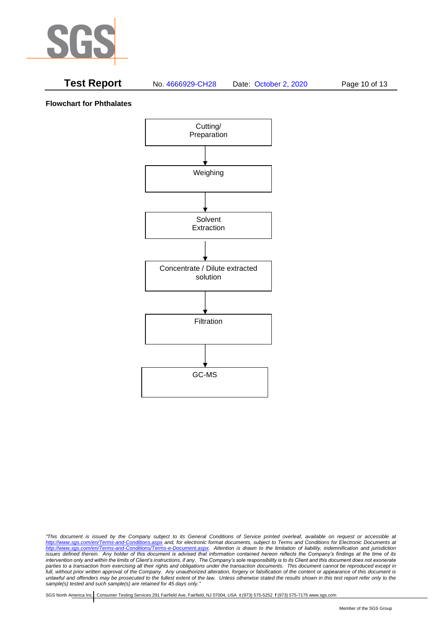

# **Test Report** No. 4666929-CH28 Date: October 2, 2020 Page 10 of 13

**Flowchart for Phthalates**



*<sup>&</sup>quot;This document is issued by the Company subject to its General Conditions of Service printed overleaf, available on request or accessible at <http://www.sgs.com/en/Terms-and-Conditions.aspx> and, for electronic format documents, subject to Terms and Conditions for Electronic Documents at [http://www.sgs.com/en/Terms-and-Conditions/Terms-e-Document.aspx.](http://www.sgs.com/en/Terms-and-Conditions/Terms-e-Document.aspx) Attention is drawn to the limitation of liability, indemnification and jurisdiction issues defined therein. Any holder of this document is advised that information contained hereon reflects the Company's findings at the time of its intervention only and within the limits of Client's instructions, if any. The Company's sole responsibility is to its Client and this document does not exonerate parties to a transaction from exercising all their rights and obligations under the transaction documents. This document cannot be reproduced except in full, without prior written approval of the Company. Any unauthorized alteration, forgery or falsification of the content or appearance of this document is unlawful and offenders may be prosecuted to the fullest extent of the law. Unless otherwise stated the results shown in this test report refer only to the sample(s) tested and such sample(s) are retained for 45 days only."*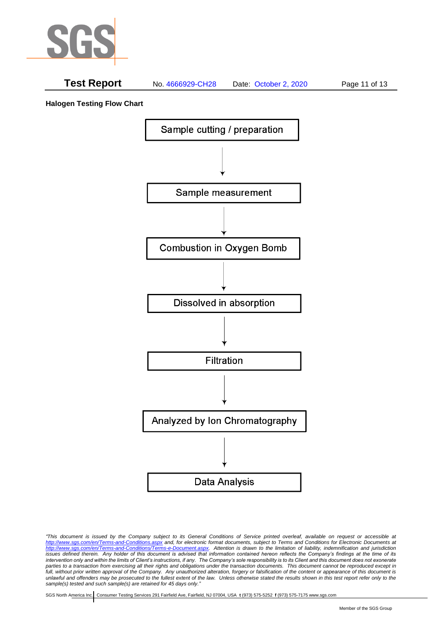

# **Test Report** No. 4666929-CH28 Date: October 2, 2020 Page 11 of 13

**Halogen Testing Flow Chart**



*"This document is issued by the Company subject to its General Conditions of Service printed overleaf, available on request or accessible at <http://www.sgs.com/en/Terms-and-Conditions.aspx> and, for electronic format documents, subject to Terms and Conditions for Electronic Documents at [http://www.sgs.com/en/Terms-and-Conditions/Terms-e-Document.aspx.](http://www.sgs.com/en/Terms-and-Conditions/Terms-e-Document.aspx) Attention is drawn to the limitation of liability, indemnification and jurisdiction issues defined therein. Any holder of this document is advised that information contained hereon reflects the Company's findings at the time of its intervention only and within the limits of Client's instructions, if any. The Company's sole responsibility is to its Client and this document does not exonerate parties to a transaction from exercising all their rights and obligations under the transaction documents. This document cannot be reproduced except in full, without prior written approval of the Company. Any unauthorized alteration, forgery or falsification of the content or appearance of this document is unlawful and offenders may be prosecuted to the fullest extent of the law. Unless otherwise stated the results shown in this test report refer only to the sample(s) tested and such sample(s) are retained for 45 days only."*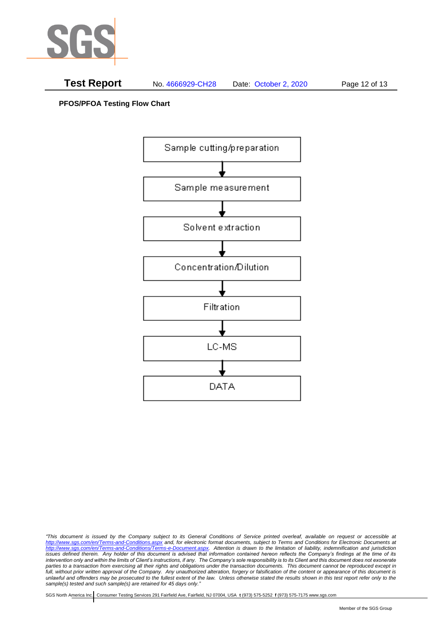

**PFOS/PFOA Testing Flow Chart**



*<sup>&</sup>quot;This document is issued by the Company subject to its General Conditions of Service printed overleaf, available on request or accessible at <http://www.sgs.com/en/Terms-and-Conditions.aspx> and, for electronic format documents, subject to Terms and Conditions for Electronic Documents at [http://www.sgs.com/en/Terms-and-Conditions/Terms-e-Document.aspx.](http://www.sgs.com/en/Terms-and-Conditions/Terms-e-Document.aspx) Attention is drawn to the limitation of liability, indemnification and jurisdiction issues defined therein. Any holder of this document is advised that information contained hereon reflects the Company's findings at the time of its intervention only and within the limits of Client's instructions, if any. The Company's sole responsibility is to its Client and this document does not exonerate parties to a transaction from exercising all their rights and obligations under the transaction documents. This document cannot be reproduced except in full, without prior written approval of the Company. Any unauthorized alteration, forgery or falsification of the content or appearance of this document is unlawful and offenders may be prosecuted to the fullest extent of the law. Unless otherwise stated the results shown in this test report refer only to the sample(s) tested and such sample(s) are retained for 45 days only."*